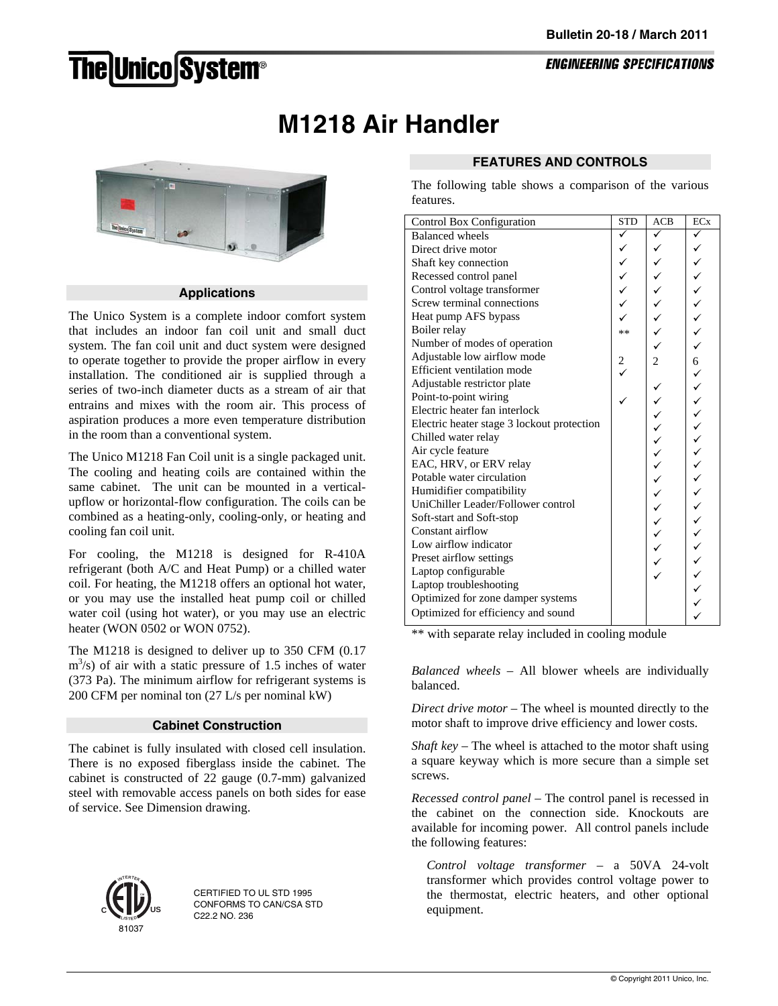# **The Unico System®**

**ENGINEERING SPECIFICATIONS** 

## **M1218 Air Handler**



### **Applications**

The Unico System is a complete indoor comfort system that includes an indoor fan coil unit and small duct system. The fan coil unit and duct system were designed to operate together to provide the proper airflow in every installation. The conditioned air is supplied through a series of two-inch diameter ducts as a stream of air that entrains and mixes with the room air. This process of aspiration produces a more even temperature distribution in the room than a conventional system.

The Unico M1218 Fan Coil unit is a single packaged unit. The cooling and heating coils are contained within the same cabinet. The unit can be mounted in a verticalupflow or horizontal-flow configuration. The coils can be combined as a heating-only, cooling-only, or heating and cooling fan coil unit.

For cooling, the M1218 is designed for R-410A refrigerant (both A/C and Heat Pump) or a chilled water coil. For heating, the M1218 offers an optional hot water, or you may use the installed heat pump coil or chilled water coil (using hot water), or you may use an electric heater (WON 0502 or WON 0752).

The M1218 is designed to deliver up to 350 CFM (0.17  $\text{m}^3$ /s) of air with a static pressure of 1.5 inches of water (373 Pa). The minimum airflow for refrigerant systems is 200 CFM per nominal ton (27 L/s per nominal kW)

### **Cabinet Construction**

The cabinet is fully insulated with closed cell insulation. There is no exposed fiberglass inside the cabinet. The cabinet is constructed of 22 gauge (0.7-mm) galvanized steel with removable access panels on both sides for ease of service. See Dimension drawing.



CERTIFIED TO UL STD 1995 CONFORMS TO CAN/CSA STD C22.2 NO. 236

### **FEATURES AND CONTROLS**

The following table shows a comparison of the various features.

| Control Box Configuration                  | <b>STD</b>           | ACB            | <b>EC<sub>x</sub></b> |
|--------------------------------------------|----------------------|----------------|-----------------------|
| <b>Balanced</b> wheels                     | ✓                    | ✓              | ✓                     |
| Direct drive motor                         | ✓                    | ✓              |                       |
| Shaft key connection                       |                      |                |                       |
| Recessed control panel                     |                      |                |                       |
| Control voltage transformer                |                      |                |                       |
| Screw terminal connections                 |                      |                |                       |
| Heat pump AFS bypass                       |                      |                |                       |
| Boiler relay                               | $**$                 |                |                       |
| Number of modes of operation               |                      |                |                       |
| Adjustable low airflow mode                |                      | $\overline{2}$ | 6                     |
| Efficient ventilation mode                 | $\frac{2}{\sqrt{2}}$ |                |                       |
| Adjustable restrictor plate                |                      |                |                       |
| Point-to-point wiring                      |                      |                |                       |
| Electric heater fan interlock              |                      |                | $\checkmark$          |
| Electric heater stage 3 lockout protection |                      |                |                       |
| Chilled water relay                        |                      | $\checkmark$   | くくへくく                 |
| Air cycle feature                          |                      |                |                       |
| EAC, HRV, or ERV relay                     |                      |                |                       |
| Potable water circulation                  |                      |                |                       |
| Humidifier compatibility                   |                      |                |                       |
| UniChiller Leader/Follower control         |                      |                |                       |
| Soft-start and Soft-stop                   |                      |                |                       |
| Constant airflow                           |                      |                |                       |
| Low airflow indicator                      |                      |                |                       |
| Preset airflow settings                    |                      |                |                       |
| Laptop configurable                        |                      |                |                       |
| Laptop troubleshooting                     |                      |                |                       |
| Optimized for zone damper systems          |                      |                |                       |
| Optimized for efficiency and sound         |                      |                |                       |

\*\* with separate relay included in cooling module

*Balanced wheels* – All blower wheels are individually balanced.

*Direct drive motor* – The wheel is mounted directly to the motor shaft to improve drive efficiency and lower costs.

*Shaft key* – The wheel is attached to the motor shaft using a square keyway which is more secure than a simple set screws.

*Recessed control panel* – The control panel is recessed in the cabinet on the connection side. Knockouts are available for incoming power. All control panels include the following features:

*Control voltage transformer* – a 50VA 24-volt transformer which provides control voltage power to the thermostat, electric heaters, and other optional equipment.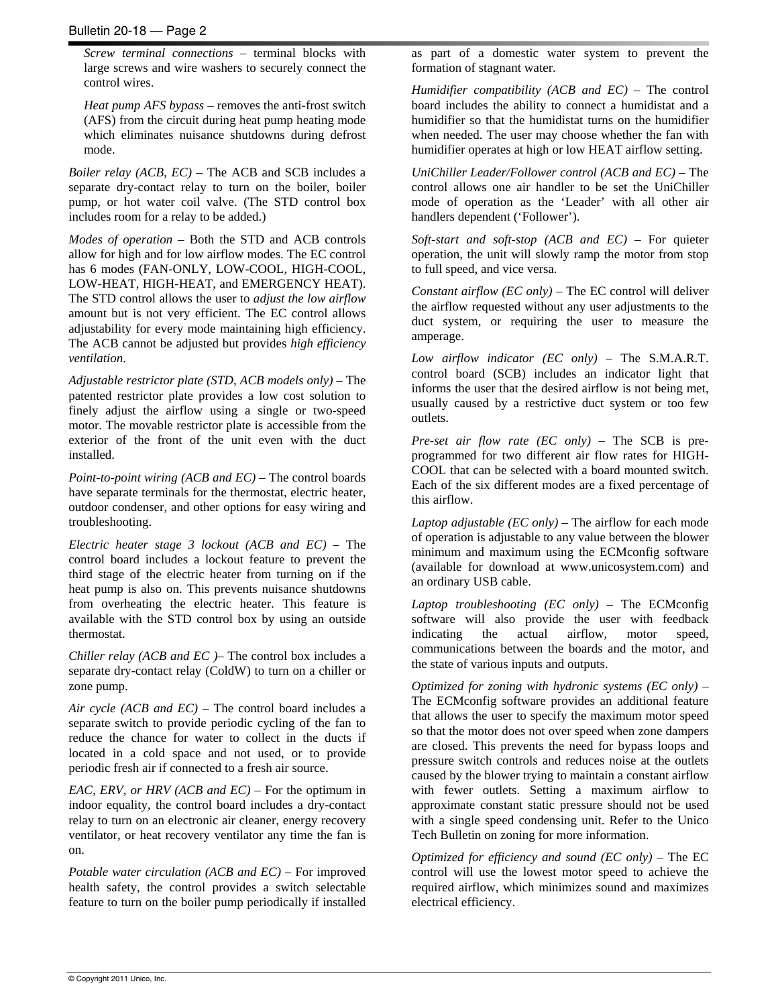*Screw terminal connections* – terminal blocks with large screws and wire washers to securely connect the control wires.

*Heat pump AFS bypass* – removes the anti-frost switch (AFS) from the circuit during heat pump heating mode which eliminates nuisance shutdowns during defrost mode.

*Boiler relay (ACB, EC)* – The ACB and SCB includes a separate dry-contact relay to turn on the boiler, boiler pump, or hot water coil valve. (The STD control box includes room for a relay to be added.)

*Modes of operation* – Both the STD and ACB controls allow for high and for low airflow modes. The EC control has 6 modes (FAN-ONLY, LOW-COOL, HIGH-COOL, LOW-HEAT, HIGH-HEAT, and EMERGENCY HEAT). The STD control allows the user to *adjust the low airflow* amount but is not very efficient. The EC control allows adjustability for every mode maintaining high efficiency. The ACB cannot be adjusted but provides *high efficiency ventilation*.

*Adjustable restrictor plate (STD, ACB models only)* – The patented restrictor plate provides a low cost solution to finely adjust the airflow using a single or two-speed motor. The movable restrictor plate is accessible from the exterior of the front of the unit even with the duct installed.

*Point-to-point wiring (ACB and EC)* – The control boards have separate terminals for the thermostat, electric heater, outdoor condenser, and other options for easy wiring and troubleshooting.

*Electric heater stage 3 lockout (ACB and EC)* – The control board includes a lockout feature to prevent the third stage of the electric heater from turning on if the heat pump is also on. This prevents nuisance shutdowns from overheating the electric heater. This feature is available with the STD control box by using an outside thermostat.

*Chiller relay (ACB and EC )*– The control box includes a separate dry-contact relay (ColdW) to turn on a chiller or zone pump.

*Air cycle (ACB and EC)* – The control board includes a separate switch to provide periodic cycling of the fan to reduce the chance for water to collect in the ducts if located in a cold space and not used, or to provide periodic fresh air if connected to a fresh air source.

*EAC, ERV, or HRV (ACB and EC)* – For the optimum in indoor equality, the control board includes a dry-contact relay to turn on an electronic air cleaner, energy recovery ventilator, or heat recovery ventilator any time the fan is on.

*Potable water circulation (ACB and EC)* – For improved health safety, the control provides a switch selectable feature to turn on the boiler pump periodically if installed as part of a domestic water system to prevent the formation of stagnant water.

*Humidifier compatibility (ACB and EC)* – The control board includes the ability to connect a humidistat and a humidifier so that the humidistat turns on the humidifier when needed. The user may choose whether the fan with humidifier operates at high or low HEAT airflow setting.

*UniChiller Leader/Follower control (ACB and EC)* – The control allows one air handler to be set the UniChiller mode of operation as the 'Leader' with all other air handlers dependent ('Follower').

*Soft-start and soft-stop (ACB and EC)* – For quieter operation, the unit will slowly ramp the motor from stop to full speed, and vice versa.

*Constant airflow (EC only)* – The EC control will deliver the airflow requested without any user adjustments to the duct system, or requiring the user to measure the amperage.

*Low airflow indicator (EC only)* – The S.M.A.R.T. control board (SCB) includes an indicator light that informs the user that the desired airflow is not being met, usually caused by a restrictive duct system or too few outlets.

*Pre-set air flow rate (EC only)* – The SCB is preprogrammed for two different air flow rates for HIGH-COOL that can be selected with a board mounted switch. Each of the six different modes are a fixed percentage of this airflow.

*Laptop adjustable (EC only)* – The airflow for each mode of operation is adjustable to any value between the blower minimum and maximum using the ECMconfig software (available for download at www.unicosystem.com) and an ordinary USB cable.

*Laptop troubleshooting (EC only)* – The ECMconfig software will also provide the user with feedback indicating the actual airflow, motor speed, communications between the boards and the motor, and the state of various inputs and outputs.

*Optimized for zoning with hydronic systems (EC only)* – The ECMconfig software provides an additional feature that allows the user to specify the maximum motor speed so that the motor does not over speed when zone dampers are closed. This prevents the need for bypass loops and pressure switch controls and reduces noise at the outlets caused by the blower trying to maintain a constant airflow with fewer outlets. Setting a maximum airflow to approximate constant static pressure should not be used with a single speed condensing unit. Refer to the Unico Tech Bulletin on zoning for more information.

*Optimized for efficiency and sound (EC only)* – The EC control will use the lowest motor speed to achieve the required airflow, which minimizes sound and maximizes electrical efficiency.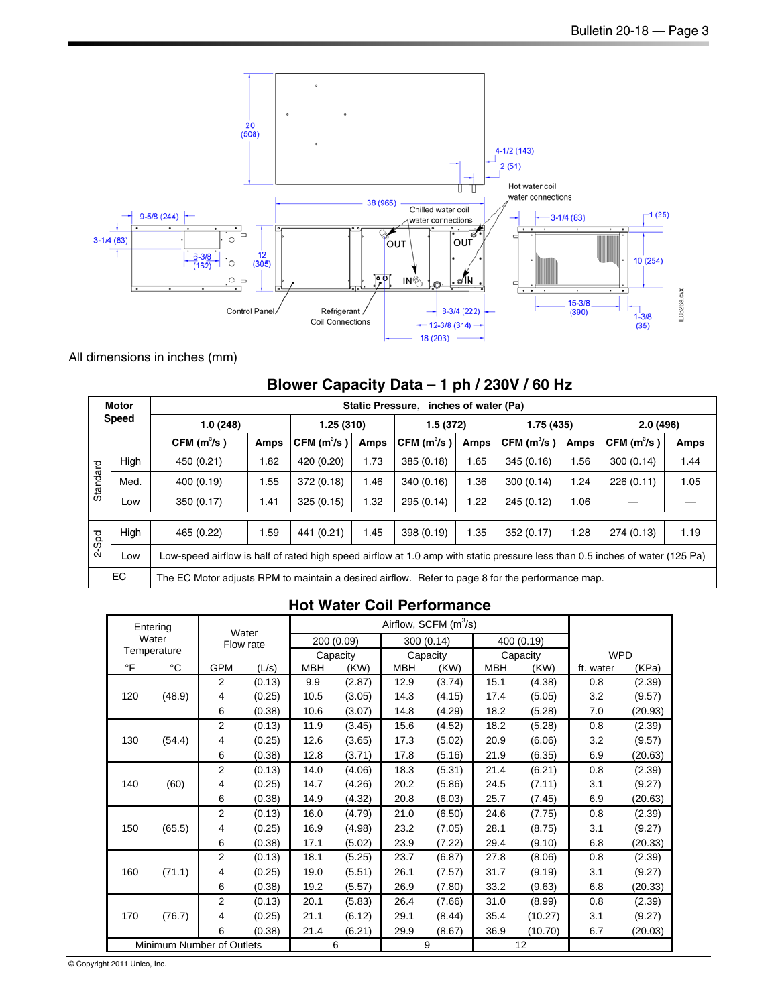

All dimensions in inches (mm)

|              | <b>Motor</b> |                                                                                                                              |            |                        | <b>Static Pressure.</b> |                        | inches of water (Pa) |                        |          |                        |      |
|--------------|--------------|------------------------------------------------------------------------------------------------------------------------------|------------|------------------------|-------------------------|------------------------|----------------------|------------------------|----------|------------------------|------|
| <b>Speed</b> |              | 1.0(248)                                                                                                                     | 1.25 (310) |                        | 1.5(372)                |                        | 1.75 (435)           |                        | 2.0(496) |                        |      |
|              |              | CFM(m <sup>3</sup> /s)                                                                                                       | Amps       | CFM(m <sup>3</sup> /s) | Amps                    | CFM(m <sup>3</sup> /s) | Amps                 | CFM(m <sup>3</sup> /s) | Amps     | CFM(m <sup>3</sup> /s) | Amps |
|              | High         | 450 (0.21)                                                                                                                   | 1.82       | 420 (0.20)             | 1.73                    | 385(0.18)              | 1.65                 | 345(0.16)              | 1.56     | 300(0.14)              | 1.44 |
| Standard     | Med.         | 400 (0.19)                                                                                                                   | 1.55       | 372 (0.18)             | 1.46                    | 340 (0.16)             | 1.36                 | 300(0.14)              | 1.24     | 226(0.11)              | 1.05 |
|              | Low          | 350 (0.17)                                                                                                                   | 1.41       | 325(0.15)              | 1.32                    | 295 (0.14)             | 1.22                 | 245 (0.12)             | 1.06     |                        |      |
|              |              |                                                                                                                              |            |                        |                         |                        |                      |                        |          |                        |      |
|              | High         | 465 (0.22)                                                                                                                   | 1.59       | 441 (0.21)             | 1.45                    | 398 (0.19)             | 1.35                 | 352 (0.17)             | 1.28     | 274 (0.13)             | 1.19 |
| 2-Spd        | Low          | Low-speed airflow is half of rated high speed airflow at 1.0 amp with static pressure less than 0.5 inches of water (125 Pa) |            |                        |                         |                        |                      |                        |          |                        |      |
|              | EC           | The EC Motor adjusts RPM to maintain a desired airflow. Refer to page 8 for the performance map.                             |            |                        |                         |                        |                      |                        |          |                        |      |

### **Blower Capacity Data – 1 ph / 230V / 60 Hz**

### **Hot Water Coil Performance**

| Entering    |                           |                    |        |            |            |            | Airflow, SCFM (m <sup>3</sup> /s) |            |            |            |         |
|-------------|---------------------------|--------------------|--------|------------|------------|------------|-----------------------------------|------------|------------|------------|---------|
|             | Water                     | Water<br>Flow rate |        |            | 200 (0.09) |            | 300 (0.14)                        |            | 400 (0.19) |            |         |
| Temperature |                           |                    |        | Capacity   |            | Capacity   |                                   | Capacity   |            | <b>WPD</b> |         |
| $\circ$ F   | °C                        | <b>GPM</b>         | (L/s)  | <b>MBH</b> | (KW)       | <b>MBH</b> | (KW)                              | <b>MBH</b> | (KW)       | ft. water  | (KPa)   |
|             |                           | $\overline{2}$     | (0.13) | 9.9        | (2.87)     | 12.9       | (3.74)                            | 15.1       | (4.38)     | 0.8        | (2.39)  |
| 120         | (48.9)                    | 4                  | (0.25) | 10.5       | (3.05)     | 14.3       | (4.15)                            | 17.4       | (5.05)     | 3.2        | (9.57)  |
|             |                           | 6                  | (0.38) | 10.6       | (3.07)     | 14.8       | (4.29)                            | 18.2       | (5.28)     | 7.0        | (20.93) |
|             |                           | $\overline{2}$     | (0.13) | 11.9       | (3.45)     | 15.6       | (4.52)                            | 18.2       | (5.28)     | 0.8        | (2.39)  |
| 130         | (54.4)                    | 4                  | (0.25) | 12.6       | (3.65)     | 17.3       | (5.02)                            | 20.9       | (6.06)     | 3.2        | (9.57)  |
|             | 6                         | (0.38)             | 12.8   | (3.71)     | 17.8       | (5.16)     | 21.9                              | (6.35)     | 6.9        | (20.63)    |         |
|             | 2                         | (0.13)             | 14.0   | (4.06)     | 18.3       | (5.31)     | 21.4                              | (6.21)     | 0.8        | (2.39)     |         |
| 140         | (60)                      | 4                  | (0.25) | 14.7       | (4.26)     | 20.2       | (5.86)                            | 24.5       | (7.11)     | 3.1        | (9.27)  |
|             |                           | 6                  | (0.38) | 14.9       | (4.32)     | 20.8       | (6.03)                            | 25.7       | (7.45)     | 6.9        | (20.63) |
|             |                           | $\overline{2}$     | (0.13) | 16.0       | (4.79)     | 21.0       | (6.50)                            | 24.6       | (7.75)     | 0.8        | (2.39)  |
| 150         | (65.5)                    | 4                  | (0.25) | 16.9       | (4.98)     | 23.2       | (7.05)                            | 28.1       | (8.75)     | 3.1        | (9.27)  |
|             |                           | 6                  | (0.38) | 17.1       | (5.02)     | 23.9       | (7.22)                            | 29.4       | (9.10)     | 6.8        | (20.33) |
|             |                           | $\overline{2}$     | (0.13) | 18.1       | (5.25)     | 23.7       | (6.87)                            | 27.8       | (8.06)     | 0.8        | (2.39)  |
| 160         | (71.1)                    | 4                  | (0.25) | 19.0       | (5.51)     | 26.1       | (7.57)                            | 31.7       | (9.19)     | 3.1        | (9.27)  |
|             |                           | 6                  | (0.38) | 19.2       | (5.57)     | 26.9       | (7.80)                            | 33.2       | (9.63)     | 6.8        | (20.33) |
|             |                           | $\overline{2}$     | (0.13) | 20.1       | (5.83)     | 26.4       | (7.66)                            | 31.0       | (8.99)     | 0.8        | (2.39)  |
| 170         | (76.7)                    | 4                  | (0.25) | 21.1       | (6.12)     | 29.1       | (8.44)                            | 35.4       | (10.27)    | 3.1        | (9.27)  |
|             |                           | 6                  | (0.38) | 21.4       | (6.21)     | 29.9       | (8.67)                            | 36.9       | (10.70)    | 6.7        | (20.03) |
|             | Minimum Number of Outlets |                    |        |            | 6          |            | 9                                 |            | 12         |            |         |

© Copyright 2011 Unico, Inc.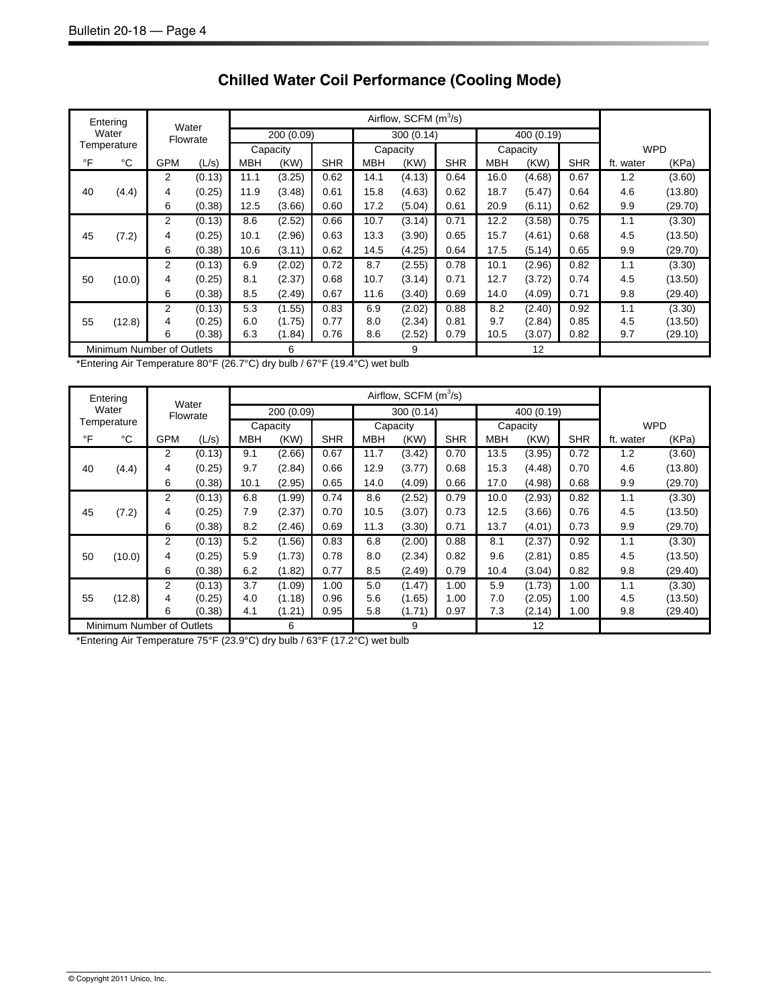|                           | Entering | Water      |          |            |        |            |      |        |            |            |        |            |           |         |
|---------------------------|----------|------------|----------|------------|--------|------------|------|--------|------------|------------|--------|------------|-----------|---------|
| Water<br>Temperature      |          | Flowrate   |          | 200 (0.09) |        | 300 (0.14) |      |        | 400 (0.19) |            |        |            |           |         |
|                           |          |            | Capacity |            |        | Capacity   |      |        | Capacity   |            |        | <b>WPD</b> |           |         |
| °F                        | °C       | <b>GPM</b> | (L/s)    | <b>MBH</b> | (KW)   | <b>SHR</b> | MBH  | (KW)   | <b>SHR</b> | <b>MBH</b> | (KW)   | <b>SHR</b> | ft. water | (KPa)   |
|                           |          | 2          | (0.13)   | 11.1       | (3.25) | 0.62       | 14.1 | (4.13) | 0.64       | 16.0       | (4.68) | 0.67       | 1.2       | (3.60)  |
| 40                        | (4.4)    | 4          | (0.25)   | 11.9       | (3.48) | 0.61       | 15.8 | (4.63) | 0.62       | 18.7       | (5.47) | 0.64       | 4.6       | (13.80) |
|                           |          | 6          | (0.38)   | 12.5       | (3.66) | 0.60       | 17.2 | (5.04) | 0.61       | 20.9       | (6.11) | 0.62       | 9.9       | (29.70) |
|                           |          | 2          | (0.13)   | 8.6        | (2.52) | 0.66       | 10.7 | (3.14) | 0.71       | 12.2       | (3.58) | 0.75       | 1.1       | (3.30)  |
| 45                        | (7.2)    | 4          | (0.25)   | 10.1       | (2.96) | 0.63       | 13.3 | (3.90) | 0.65       | 15.7       | (4.61) | 0.68       | 4.5       | (13.50) |
|                           |          | 6          | (0.38)   | 10.6       | (3.11) | 0.62       | 14.5 | (4.25) | 0.64       | 17.5       | (5.14) | 0.65       | 9.9       | (29.70) |
|                           |          | 2          | (0.13)   | 6.9        | (2.02) | 0.72       | 8.7  | (2.55) | 0.78       | 10.1       | (2.96) | 0.82       | 1.1       | (3.30)  |
| 50                        | (10.0)   | 4          | (0.25)   | 8.1        | (2.37) | 0.68       | 10.7 | (3.14) | 0.71       | 12.7       | (3.72) | 0.74       | 4.5       | (13.50) |
|                           |          | 6          | (0.38)   | 8.5        | (2.49) | 0.67       | 11.6 | (3.40) | 0.69       | 14.0       | (4.09) | 0.71       | 9.8       | (29.40) |
|                           |          | 2          | (0.13)   | 5.3        | (1.55) | 0.83       | 6.9  | (2.02) | 0.88       | 8.2        | (2.40) | 0.92       | 1.1       | (3.30)  |
| 55                        | (12.8)   | 4          | (0.25)   | 6.0        | (1.75) | 0.77       | 8.0  | (2.34) | 0.81       | 9.7        | (2.84) | 0.85       | 4.5       | (13.50) |
|                           |          | 6          | (0.38)   | 6.3        | (1.84) | 0.76       | 8.6  | (2.52) | 0.79       | 10.5       | (3.07) | 0.82       | 9.7       | (29.10) |
| Minimum Number of Outlets |          |            | 6        |            |        | 9          |      |        | 12         |            |        |            |           |         |

### **Chilled Water Coil Performance (Cooling Mode)**

\*Entering Air Temperature 80°F (26.7°C) dry bulb / 67°F (19.4°C) wet bulb

|                           | Entering    |                |                   |            |            |            |          | Airflow, SCFM $(m^3/s)$ |            |          |            |            |            |         |
|---------------------------|-------------|----------------|-------------------|------------|------------|------------|----------|-------------------------|------------|----------|------------|------------|------------|---------|
|                           | Water       |                | Water<br>Flowrate |            | 200 (0.09) |            |          | 300 (0.14)              |            |          | 400 (0.19) |            |            |         |
|                           | Temperature |                |                   |            | Capacity   |            | Capacity |                         |            | Capacity |            |            | <b>WPD</b> |         |
| $\circ$ F                 | $^{\circ}C$ | <b>GPM</b>     | (L/s)             | <b>MBH</b> | (KW)       | <b>SHR</b> | МВН      | (KW)                    | <b>SHR</b> | MBH      | (KW)       | <b>SHR</b> | ft. water  | (KPa)   |
|                           |             | 2              | (0.13)            | 9.1        | (2.66)     | 0.67       | 11.7     | (3.42)                  | 0.70       | 13.5     | (3.95)     | 0.72       | 1.2        | (3.60)  |
| 40                        | (4.4)       | 4              | (0.25)            | 9.7        | (2.84)     | 0.66       | 12.9     | (3.77)                  | 0.68       | 15.3     | (4.48)     | 0.70       | 4.6        | (13.80) |
|                           |             | 6              | (0.38)            | 10.1       | (2.95)     | 0.65       | 14.0     | (4.09)                  | 0.66       | 17.0     | (4.98)     | 0.68       | 9.9        | (29.70) |
|                           |             | $\overline{2}$ | (0.13)            | 6.8        | (1.99)     | 0.74       | 8.6      | (2.52)                  | 0.79       | 10.0     | (2.93)     | 0.82       | 1.1        | (3.30)  |
| 45                        | (7.2)       | 4              | (0.25)            | 7.9        | (2.37)     | 0.70       | 10.5     | (3.07)                  | 0.73       | 12.5     | (3.66)     | 0.76       | 4.5        | (13.50) |
|                           |             | 6              | (0.38)            | 8.2        | (2.46)     | 0.69       | 11.3     | (3.30)                  | 0.71       | 13.7     | (4.01)     | 0.73       | 9.9        | (29.70) |
|                           |             | 2              | (0.13)            | 5.2        | (1.56)     | 0.83       | 6.8      | (2.00)                  | 0.88       | 8.1      | (2.37)     | 0.92       | 1.1        | (3.30)  |
| 50                        | (10.0)      | 4              | (0.25)            | 5.9        | (1.73)     | 0.78       | 8.0      | (2.34)                  | 0.82       | 9.6      | (2.81)     | 0.85       | 4.5        | (13.50) |
|                           |             | 6              | (0.38)            | 6.2        | (1.82)     | 0.77       | 8.5      | (2.49)                  | 0.79       | 10.4     | (3.04)     | 0.82       | 9.8        | (29.40) |
|                           |             | 2              | (0.13)            | 3.7        | (1.09)     | 1.00       | 5.0      | (1.47)                  | 1.00       | 5.9      | (1.73)     | 1.00       | 1.1        | (3.30)  |
| 55                        | (12.8)      | 4              | (0.25)            | 4.0        | (1.18)     | 0.96       | 5.6      | (1.65)                  | 1.00       | 7.0      | (2.05)     | 1.00       | 4.5        | (13.50) |
|                           |             | 6              | (0.38)            | 4.1        | (1.21)     | 0.95       | 5.8      | (1.71)                  | 0.97       | 7.3      | (2.14)     | 1.00       | 9.8        | (29.40) |
| Minimum Number of Outlets |             |                | 6                 |            |            | 9          |          |                         | 12         |          |            |            |            |         |

\*Entering Air Temperature 75°F (23.9°C) dry bulb / 63°F (17.2°C) wet bulb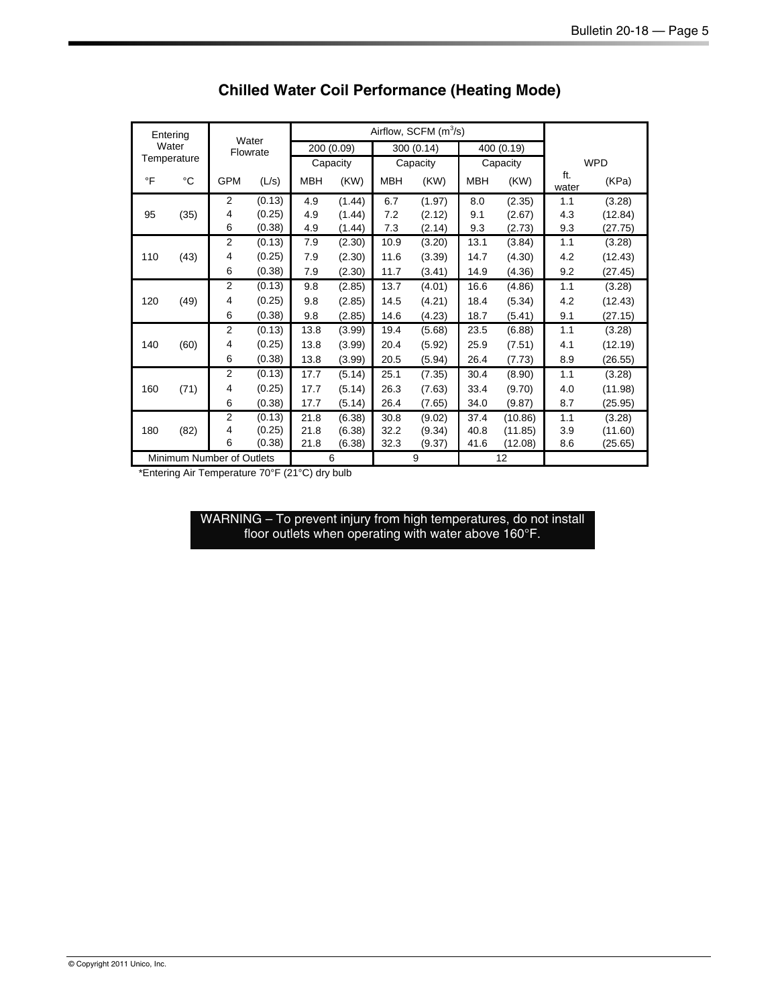| Entering    |                           |                   |        |            |            |            | Airflow, SCFM $(m^3/s)$ |            |          |       |                                                                      |  |
|-------------|---------------------------|-------------------|--------|------------|------------|------------|-------------------------|------------|----------|-------|----------------------------------------------------------------------|--|
|             | Water                     | Water<br>Flowrate |        |            | 200 (0.09) |            | 300(0.14)               | 400 (0.19) |          |       |                                                                      |  |
| Temperature |                           |                   |        |            | Capacity   |            | Capacity                |            | Capacity |       | <b>WPD</b><br>ft.<br>(KPa)<br>(3.28)<br>(12.84)<br>(27.75)<br>(3.28) |  |
| $\circ$ F   | °C                        | <b>GPM</b>        | (L/s)  | <b>MBH</b> | (KW)       | <b>MBH</b> | (KW)                    | <b>MBH</b> | (KW)     | water |                                                                      |  |
|             |                           | $\overline{2}$    | (0.13) | 4.9        | (1.44)     | 6.7        | (1.97)                  | 8.0        | (2.35)   | 1.1   |                                                                      |  |
| 95          | (35)                      | 4                 | (0.25) | 4.9        | (1.44)     | 7.2        | (2.12)                  | 9.1        | (2.67)   | 4.3   |                                                                      |  |
|             |                           | 6                 | (0.38) | 4.9        | (1.44)     | 7.3        | (2.14)                  | 9.3        | (2.73)   | 9.3   |                                                                      |  |
|             |                           | $\overline{2}$    | (0.13) | 7.9        | (2.30)     | 10.9       | (3.20)                  | 13.1       | (3.84)   | 1.1   |                                                                      |  |
| 110         | (43)                      | 4                 | (0.25) | 7.9        | (2.30)     | 11.6       | (3.39)                  | 14.7       | (4.30)   | 4.2   | (12.43)                                                              |  |
|             |                           | 6                 | (0.38) | 7.9        | (2.30)     | 11.7       | (3.41)                  | 14.9       | (4.36)   | 9.2   | (27.45)                                                              |  |
|             |                           | $\overline{2}$    | (0.13) | 9.8        | (2.85)     | 13.7       | (4.01)                  | 16.6       | (4.86)   | 1.1   | (3.28)                                                               |  |
| 120         | (49)                      | 4                 | (0.25) | 9.8        | (2.85)     | 14.5       | (4.21)                  | 18.4       | (5.34)   | 4.2   | (12.43)                                                              |  |
|             |                           | 6                 | (0.38) | 9.8        | (2.85)     | 14.6       | (4.23)                  | 18.7       | (5.41)   | 9.1   | (27.15)                                                              |  |
|             |                           | 2                 | (0.13) | 13.8       | (3.99)     | 19.4       | (5.68)                  | 23.5       | (6.88)   | 1.1   | (3.28)                                                               |  |
| 140         | (60)                      | 4                 | (0.25) | 13.8       | (3.99)     | 20.4       | (5.92)                  | 25.9       | (7.51)   | 4.1   | (12.19)                                                              |  |
|             |                           | 6                 | (0.38) | 13.8       | (3.99)     | 20.5       | (5.94)                  | 26.4       | (7.73)   | 8.9   | (26.55)                                                              |  |
|             |                           | $\overline{2}$    | (0.13) | 17.7       | (5.14)     | 25.1       | (7.35)                  | 30.4       | (8.90)   | 1.1   | (3.28)                                                               |  |
| 160         | (71)                      | 4                 | (0.25) | 17.7       | (5.14)     | 26.3       | (7.63)                  | 33.4       | (9.70)   | 4.0   | (11.98)                                                              |  |
|             |                           | 6                 | (0.38) | 17.7       | (5.14)     | 26.4       | (7.65)                  | 34.0       | (9.87)   | 8.7   | (25.95)                                                              |  |
|             |                           | 2                 | (0.13) | 21.8       | (6.38)     | 30.8       | (9.02)                  | 37.4       | (10.86)  | 1.1   | (3.28)                                                               |  |
| 180         | (82)                      | 4                 | (0.25) | 21.8       | (6.38)     | 32.2       | (9.34)                  | 40.8       | (11.85)  | 3.9   | (11.60)                                                              |  |
|             |                           | 6                 | (0.38) | 21.8       | (6.38)     | 32.3       | (9.37)                  | 41.6       | (12.08)  | 8.6   | (25.65)                                                              |  |
|             | Minimum Number of Outlets |                   |        |            | 6          |            | 9                       |            | 12       |       |                                                                      |  |

### **Chilled Water Coil Performance (Heating Mode)**

\*Entering Air Temperature 70°F (21°C) dry bulb

WARNING – To prevent injury from high temperatures, do not install floor outlets when operating with water above 160°F.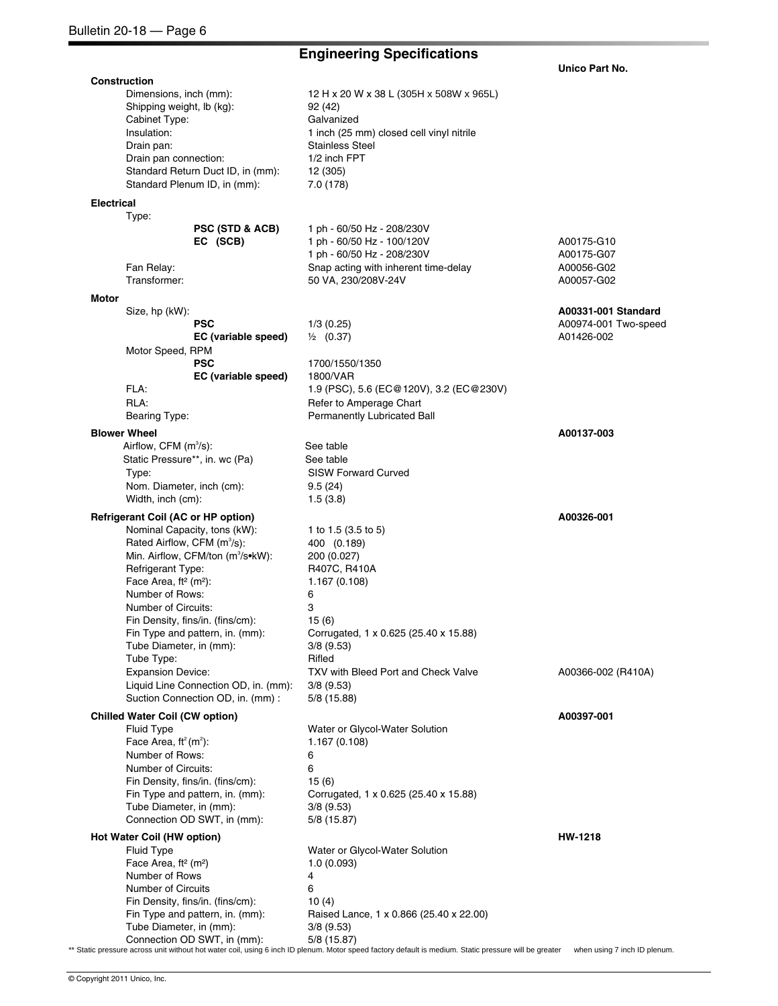### **Engineering Specifications**

 **Unico Part No.** 

**Construction**  Dimensions, inch (mm): 12 H x 20 W x 38 L (305H x 508W x 965L) Shipping weight, lb (kg): 92 (42) Cabinet Type: Galvanized Insulation: 1 inch (25 mm) closed cell vinyl nitrile<br>
Drain pan: 1 Stainless Steel Stainless Steel Drain pan connection: 1/2 inch FPT Standard Return Duct ID, in (mm): 12 (305) Standard Plenum ID, in (mm): 7.0 (178) **Electrical**  Type: **PSC (STD & ACB) EC (SCB)** 1 ph - 60/50 Hz - 208/230V 1 ph - 60/50 Hz - 100/120V A00175-G10 1 ph - 60/50 Hz - 208/230V A00175-G07 Fan Relay: Snap acting with inherent time-delay A00056-G02 Transformer: 50 VA, 230/208V-24V A00057-G02 **Motor**  Size, hp (kW): **PSC EC (variable speed)**  1/3 (0.25) ½ (0.37) **A00331-001 Standard** A00974-001 Two-speed A01426-002 Motor Speed, RPM **PSC EC (variable speed)**  1700/1550/1350 1800/VAR FLA: 1.9 (PSC), 5.6 (EC@120V), 3.2 (EC@230V) RLA: Refer to Amperage Chart Bearing Type: Permanently Lubricated Ball **Blower Wheel A00137-003 A00137-003** Airflow, CFM  $(m^3/s)$ : See table Static Pressure\*\*, in. wc (Pa) See table Type: SISW Forward Curved Nom. Diameter, inch (cm): 9.5 (24) Width, inch (cm): 1.5 (3.8) **Refrigerant Coil (AC or HP option)** A00326-001 **A00326-001 A00326-001** Nominal Capacity, tons (kW): 1 to 1.5 (3.5 to 5) Rated Airflow, CFM (m<sup>3</sup>/s): /s): 400 (0.189) Min. Airflow, CFM/ton  $(m^3/s \cdot kW)$ : /s•kW): 200 (0.027) Refrigerant Type: R407C, R410A<br>Face Area, ft<sup>2</sup> (m<sup>2</sup>): 1.167 (0.108) Face Area, ft<sup>2</sup> (m<sup>2</sup>): Number of Rows: 6 Number of Circuits: 3 Fin Density, fins/in. (fins/cm): 15 (6) Fin Type and pattern, in. (mm): Corrugated, 1 x 0.625 (25.40 x 15.88) Tube Diameter, in (mm): 3/8 (9.53) Tube Type: Rifled Expansion Device: TXV with Bleed Port and Check Valve A00366-002 (R410A) Liquid Line Connection OD, in. (mm): 3/8 (9.53) Suction Connection OD, in. (mm) : 5/8 (15.88) **Chilled Water Coil (CW option) A00397-001** Fluid Type Water or Glycol-Water Solution Face Area,  $ft<sup>2</sup> (m<sup>2</sup>)$ : ): 1.167 (0.108) Number of Rows: 6 Number of Circuits: 6 Fin Density, fins/in. (fins/cm): 15 (6) Fin Type and pattern, in. (mm): Corrugated, 1 x 0.625 (25.40 x 15.88) Tube Diameter, in (mm): 3/8 (9.53) Connection OD SWT, in (mm): 5/8 (15.87) **Hot Water Coil (HW option) HW-1218 HW-1218** Fluid Type **Water or Glycol-Water Solution** Face Area, ft<sup>2</sup> (m<sup>2</sup>) 1.0 (0.093) Number of Rows 4 Number of Circuits 6 Fin Density, fins/in. (fins/cm): 10 (4) Fin Type and pattern, in. (mm): Raised Lance, 1 x 0.866 (25.40 x 22.00) Tube Diameter, in (mm): 3/8 (9.53) Connection OD SWT, in (mm): 5/8 (15.87)

\*\* Static pressure across unit without hot water coil, using 6 inch ID plenum. Motor speed factory default is medium. Static pressure will be greater when using 7 inch ID plenum.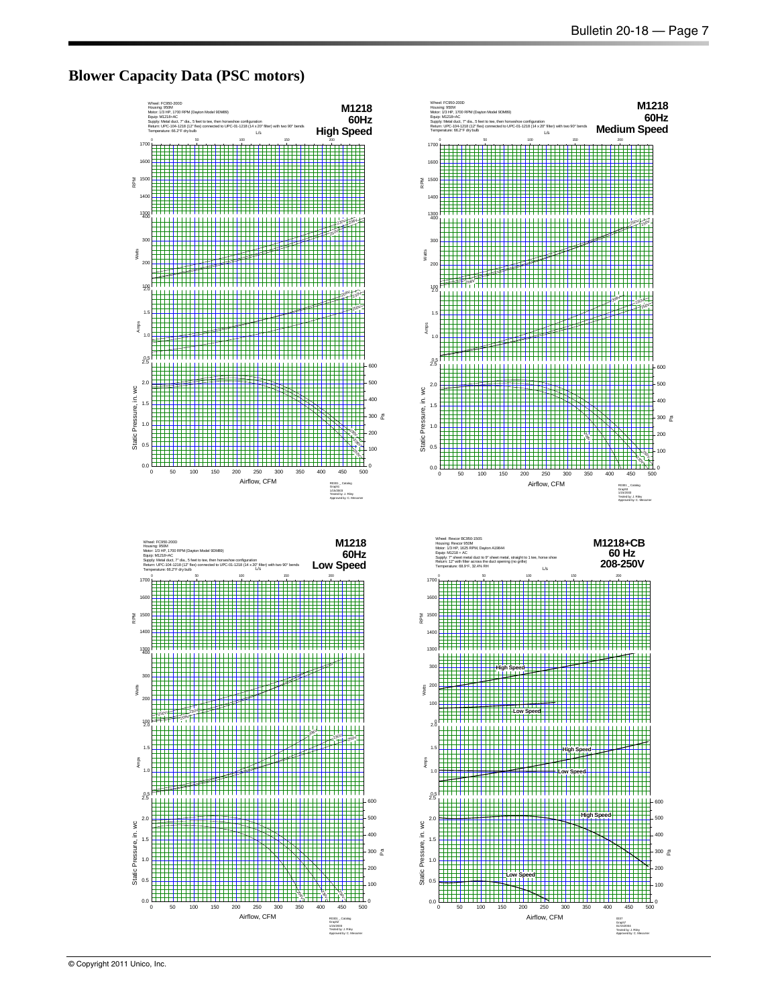### **Blower Capacity Data (PSC motors)**